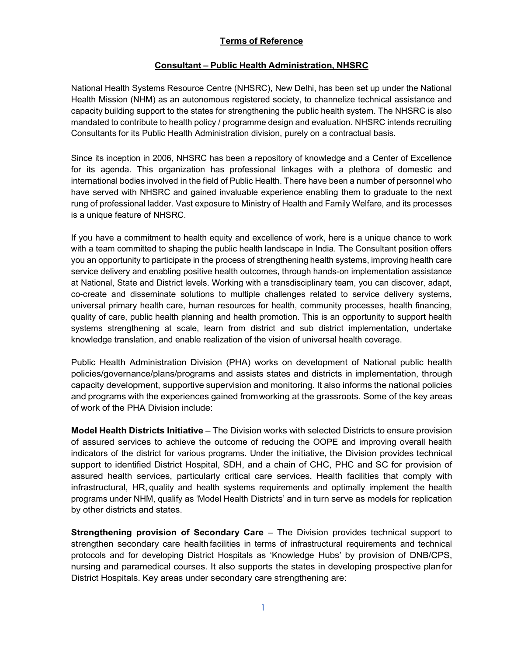### Terms of Reference

#### Consultant – Public Health Administration, NHSRC

National Health Systems Resource Centre (NHSRC), New Delhi, has been set up under the National Health Mission (NHM) as an autonomous registered society, to channelize technical assistance and capacity building support to the states for strengthening the public health system. The NHSRC is also mandated to contribute to health policy / programme design and evaluation. NHSRC intends recruiting Consultants for its Public Health Administration division, purely on a contractual basis.

Since its inception in 2006, NHSRC has been a repository of knowledge and a Center of Excellence for its agenda. This organization has professional linkages with a plethora of domestic and international bodies involved in the field of Public Health. There have been a number of personnel who have served with NHSRC and gained invaluable experience enabling them to graduate to the next rung of professional ladder. Vast exposure to Ministry of Health and Family Welfare, and its processes is a unique feature of NHSRC.

If you have a commitment to health equity and excellence of work, here is a unique chance to work with a team committed to shaping the public health landscape in India. The Consultant position offers you an opportunity to participate in the process of strengthening health systems, improving health care service delivery and enabling positive health outcomes, through hands-on implementation assistance at National, State and District levels. Working with a transdisciplinary team, you can discover, adapt, co-create and disseminate solutions to multiple challenges related to service delivery systems, universal primary health care, human resources for health, community processes, health financing, quality of care, public health planning and health promotion. This is an opportunity to support health systems strengthening at scale, learn from district and sub district implementation, undertake knowledge translation, and enable realization of the vision of universal health coverage.

Public Health Administration Division (PHA) works on development of National public health policies/governance/plans/programs and assists states and districts in implementation, through capacity development, supportive supervision and monitoring. It also informs the national policies and programs with the experiences gained from working at the grassroots. Some of the key areas of work of the PHA Division include:

Model Health Districts Initiative – The Division works with selected Districts to ensure provision of assured services to achieve the outcome of reducing the OOPE and improving overall health indicators of the district for various programs. Under the initiative, the Division provides technical support to identified District Hospital, SDH, and a chain of CHC, PHC and SC for provision of assured health services, particularly critical care services. Health facilities that comply with infrastructural, HR, quality and health systems requirements and optimally implement the health programs under NHM, qualify as 'Model Health Districts' and in turn serve as models for replication by other districts and states.

Strengthening provision of Secondary Care – The Division provides technical support to strengthen secondary care health facilities in terms of infrastructural requirements and technical protocols and for developing District Hospitals as 'Knowledge Hubs' by provision of DNB/CPS, nursing and paramedical courses. It also supports the states in developing prospective plan for District Hospitals. Key areas under secondary care strengthening are: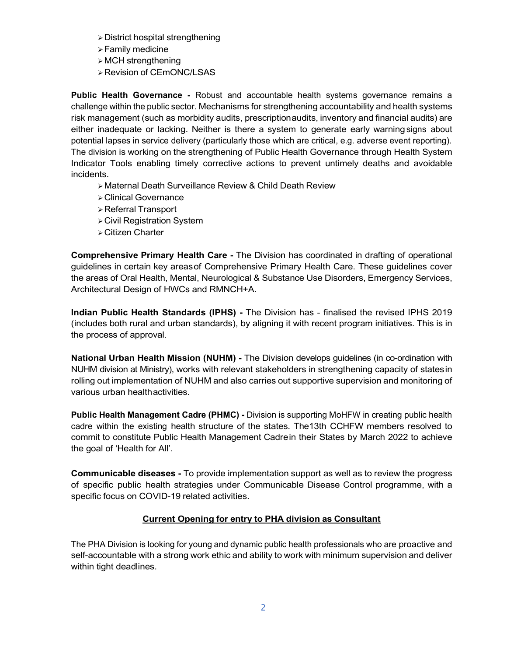- District hospital strengthening
- Family medicine
- $\triangleright$  MCH strengthening
- Revision of CEmONC/LSAS

Public Health Governance - Robust and accountable health systems governance remains a challenge within the public sector. Mechanisms for strengthening accountability and health systems risk management (such as morbidity audits, prescription audits, inventory and financial audits) are either inadequate or lacking. Neither is there a system to generate early warning signs about potential lapses in service delivery (particularly those which are critical, e.g. adverse event reporting). The division is working on the strengthening of Public Health Governance through Health System Indicator Tools enabling timely corrective actions to prevent untimely deaths and avoidable incidents.

- Maternal Death Surveillance Review & Child Death Review
- Clinical Governance
- Referral Transport
- Civil Registration System
- Citizen Charter

Comprehensive Primary Health Care - The Division has coordinated in drafting of operational guidelines in certain key areas of Comprehensive Primary Health Care. These guidelines cover the areas of Oral Health, Mental, Neurological & Substance Use Disorders, Emergency Services, Architectural Design of HWCs and RMNCH+A.

Indian Public Health Standards (IPHS) - The Division has - finalised the revised IPHS 2019 (includes both rural and urban standards), by aligning it with recent program initiatives. This is in the process of approval.

National Urban Health Mission (NUHM) - The Division develops guidelines (in co-ordination with NUHM division at Ministry), works with relevant stakeholders in strengthening capacity of states in rolling out implementation of NUHM and also carries out supportive supervision and monitoring of various urban health activities.

Public Health Management Cadre (PHMC) - Division is supporting MoHFW in creating public health cadre within the existing health structure of the states. The13th CCHFW members resolved to commit to constitute Public Health Management Cadre in their States by March 2022 to achieve the goal of 'Health for All'.

Communicable diseases - To provide implementation support as well as to review the progress of specific public health strategies under Communicable Disease Control programme, with a specific focus on COVID-19 related activities.

### Current Opening for entry to PHA division as Consultant

The PHA Division is looking for young and dynamic public health professionals who are proactive and self-accountable with a strong work ethic and ability to work with minimum supervision and deliver within tight deadlines.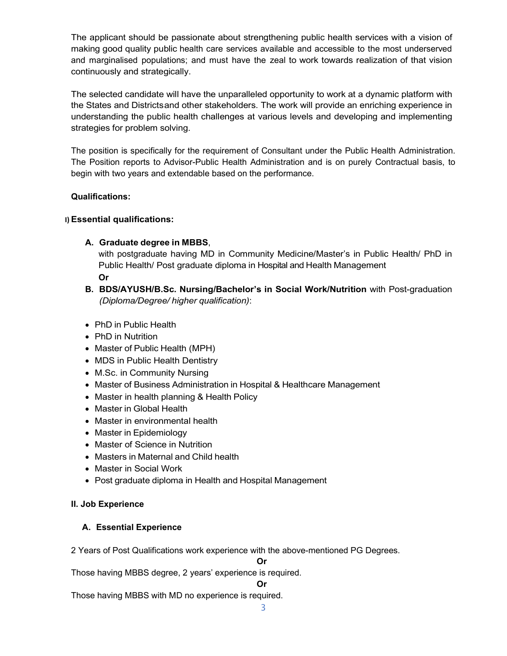The applicant should be passionate about strengthening public health services with a vision of making good quality public health care services available and accessible to the most underserved and marginalised populations; and must have the zeal to work towards realization of that vision continuously and strategically.

The selected candidate will have the unparalleled opportunity to work at a dynamic platform with the States and Districts and other stakeholders. The work will provide an enriching experience in understanding the public health challenges at various levels and developing and implementing strategies for problem solving.

The position is specifically for the requirement of Consultant under the Public Health Administration. The Position reports to Advisor-Public Health Administration and is on purely Contractual basis, to begin with two years and extendable based on the performance.

#### Qualifications:

#### I) Essential qualifications:

#### A. Graduate degree in MBBS,

with postgraduate having MD in Community Medicine/Master's in Public Health/ PhD in Public Health/ Post graduate diploma in Hospital and Health Management

Or

- B. BDS/AYUSH/B.Sc. Nursing/Bachelor's in Social Work/Nutrition with Post-graduation (Diploma/Degree/ higher qualification):
- PhD in Public Health
- PhD in Nutrition
- Master of Public Health (MPH)
- MDS in Public Health Dentistry
- M.Sc. in Community Nursing
- Master of Business Administration in Hospital & Healthcare Management
- Master in health planning & Health Policy
- Master in Global Health
- Master in environmental health
- Master in Epidemiology
- Master of Science in Nutrition
- Masters in Maternal and Child health
- Master in Social Work
- Post graduate diploma in Health and Hospital Management

#### II. Job Experience

#### A. Essential Experience

2 Years of Post Qualifications work experience with the above-mentioned PG Degrees.

Or

Those having MBBS degree, 2 years' experience is required.

Or

Those having MBBS with MD no experience is required.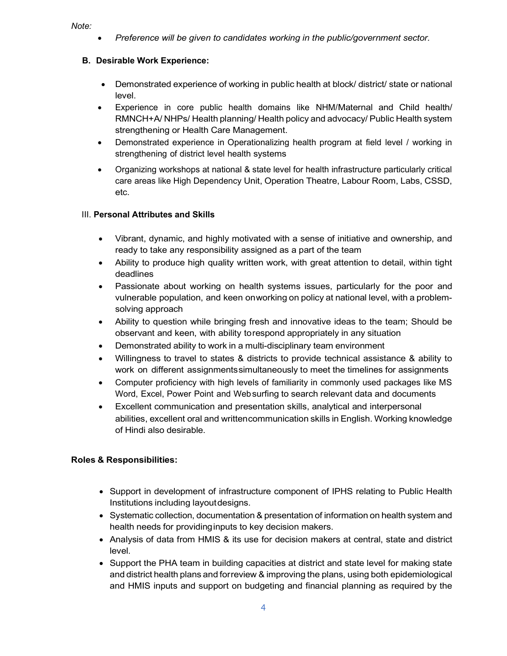#### Note:

Preference will be given to candidates working in the public/government sector.

### B. Desirable Work Experience:

- Demonstrated experience of working in public health at block/ district/ state or national level.
- Experience in core public health domains like NHM/Maternal and Child health/ RMNCH+A/ NHPs/ Health planning/ Health policy and advocacy/ Public Health system strengthening or Health Care Management.
- Demonstrated experience in Operationalizing health program at field level / working in strengthening of district level health systems
- Organizing workshops at national & state level for health infrastructure particularly critical care areas like High Dependency Unit, Operation Theatre, Labour Room, Labs, CSSD, etc.

## III. Personal Attributes and Skills

- Vibrant, dynamic, and highly motivated with a sense of initiative and ownership, and ready to take any responsibility assigned as a part of the team
- Ability to produce high quality written work, with great attention to detail, within tight deadlines
- Passionate about working on health systems issues, particularly for the poor and vulnerable population, and keen on working on policy at national level, with a problemsolving approach
- Ability to question while bringing fresh and innovative ideas to the team; Should be observant and keen, with ability to respond appropriately in any situation
- Demonstrated ability to work in a multi-disciplinary team environment
- Willingness to travel to states & districts to provide technical assistance & ability to work on different assignments simultaneously to meet the timelines for assignments
- Computer proficiency with high levels of familiarity in commonly used packages like MS Word, Excel, Power Point and Web surfing to search relevant data and documents
- Excellent communication and presentation skills, analytical and interpersonal abilities, excellent oral and written communication skills in English. Working knowledge of Hindi also desirable.

## Roles & Responsibilities:

- Support in development of infrastructure component of IPHS relating to Public Health Institutions including layout designs.
- Systematic collection, documentation & presentation of information on health system and health needs for providing inputs to key decision makers.
- Analysis of data from HMIS & its use for decision makers at central, state and district level.
- Support the PHA team in building capacities at district and state level for making state and district health plans and for review & improving the plans, using both epidemiological and HMIS inputs and support on budgeting and financial planning as required by the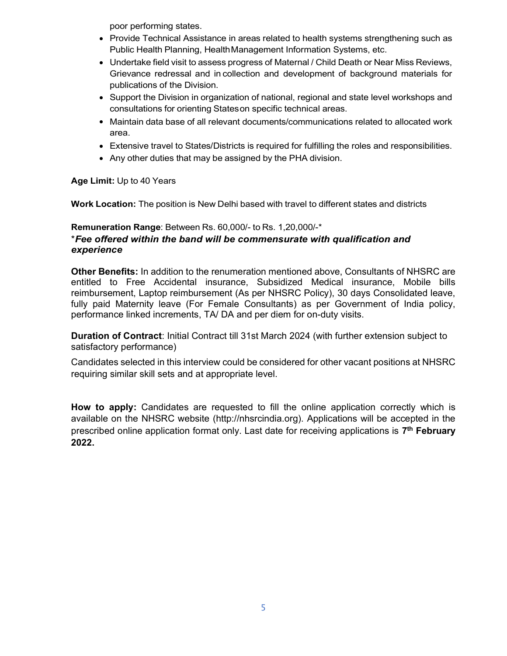poor performing states.

- Provide Technical Assistance in areas related to health systems strengthening such as Public Health Planning, Health Management Information Systems, etc.
- Undertake field visit to assess progress of Maternal / Child Death or Near Miss Reviews, Grievance redressal and in collection and development of background materials for publications of the Division.
- Support the Division in organization of national, regional and state level workshops and consultations for orienting States on specific technical areas.
- Maintain data base of all relevant documents/communications related to allocated work area.
- Extensive travel to States/Districts is required for fulfilling the roles and responsibilities.
- Any other duties that may be assigned by the PHA division.

### Age Limit: Up to 40 Years

Work Location: The position is New Delhi based with travel to different states and districts

## Remuneration Range: Between Rs. 60,000/- to Rs. 1,20,000/-\* \*Fee offered within the band will be commensurate with qualification and experience

Other Benefits: In addition to the renumeration mentioned above, Consultants of NHSRC are entitled to Free Accidental insurance, Subsidized Medical insurance, Mobile bills reimbursement, Laptop reimbursement (As per NHSRC Policy), 30 days Consolidated leave, fully paid Maternity leave (For Female Consultants) as per Government of India policy, performance linked increments, TA/ DA and per diem for on-duty visits.

Duration of Contract: Initial Contract till 31st March 2024 (with further extension subject to satisfactory performance)

Candidates selected in this interview could be considered for other vacant positions at NHSRC requiring similar skill sets and at appropriate level.

How to apply: Candidates are requested to fill the online application correctly which is available on the NHSRC website (http://nhsrcindia.org). Applications will be accepted in the prescribed online application format only. Last date for receiving applications is 7<sup>th</sup> February 2022.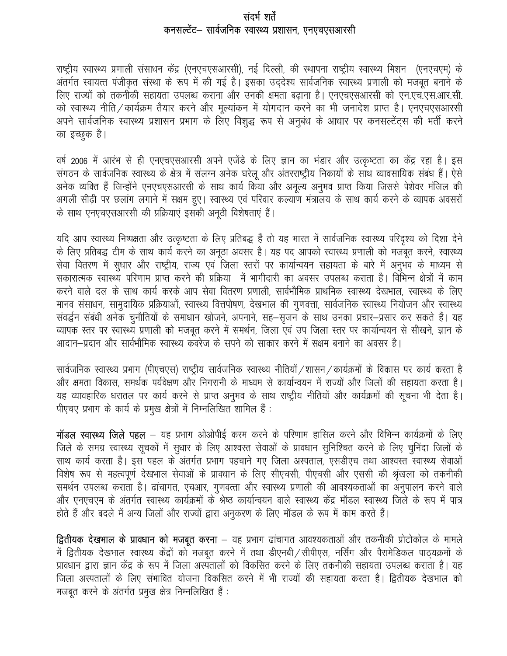## संदर्भ शर्तें कनसल्टेंट– सार्वजनिक स्वास्थ्य प्रशासन, एनएचएसआरसी

राष्ट्रीय स्वास्थ्य प्रणाली संसाधन केंद्र (एनएचएसआरसी), नई दिल्ली, की स्थापना राष्ट्रीय स्वास्थ्य मिशन (एनएचएम) के अंतर्गत स्वायत्त पंजीकृत संस्था के रूप में की गई है। इसका उददेश्य सार्वजनिक स्वास्थ्य प्रणाली को मजबूत बनाने के लिए राज्यों को तकनीकी सहायता उपलब्ध कराना और उनकी क्षमता बढ़ाना है। एनएचएसआरसी को एन.एच.एस.आर.सी. को स्वास्थ्य नीति / कार्यक्रम तैयार करने और मूल्यांकन में योगदान करने का भी जनादेश प्राप्त है। एनएचएसआरसी अपने सार्वजनिक स्वास्थ्य प्रशासन प्रभाग के लिए विशुद्ध रूप से अनुबंध के आधार पर कनसल्टेंट्स की भर्ती करने का इच्छुक है।

वर्ष 2006 में आरंभ से ही एनएचएसआरसी अपने एजेंडे के लिए ज्ञान का भंडार और उत्कृष्टता का केंद्र रहा है। इस संगठन के सार्वजनिक स्वास्थ्य के क्षेत्र में संलग्न अनेक घरेलू और अंतरराष्ट्रीय निकायों के साथ व्यावसायिक संबंध हैं। ऐसे अनेक व्यक्ति हैं जिन्होंने एनएचएसआरसी के साथ कार्य किया और अमूल्य अनुभव प्राप्त किया जिससे पेशेवर मंजिल की अगली सीढ़ी पर छलांग लगाने में सक्षम हुए। स्वास्थ्य एवं परिवार कल्याण मंत्रालय के साथ कार्य करने के व्यापक अवसरों के साथ एनएचएसआरसी की प्रक्रियाएं इसकी अनूठी विशेषताएं हैं।

यदि आप स्वास्थ्य निष्पक्षता और उत्कृष्टता के लिए प्रतिबद्ध हैं तो यह भारत में सार्वजनिक स्वास्थ्य परिदृश्य को दिशा देने के लिए प्रतिबद्ध टीम के साथ कार्य करने का अनूठा अवसर है। यह पद आपको स्वास्थ्य प्रणाली को मजबूत करने, स्वास्थ्य सेवा वितरण में सुधार और राष्ट्रीय, राज्य एवं जिला स्तरों पर कार्यान्वयन सहायता के बारे में अनुभव के माध्यम से सकारात्मक स्वास्थ्य परिणाम प्राप्त करने की प्रक्रिया) में भागीदारी का अवसर उपलब्ध कराता है। विभिन्न क्षेत्रों में काम करने वाले दल के साथ कार्य करके आप सेवा वितरण प्रणाली, सार्वभौमिक प्राथमिक स्वास्थ्य देखभाल, स्वास्थ्य के लिए मानव संसाधन, सामुदायिक प्रक्रियाओं, स्वास्थ्य वित्तपोषण, देखभाल की गुणवत्ता, सार्वजनिक स्वास्थ्य नियोजन और स्वास्थ्य संवर्द्धन संबंधी अनेक चुनौतियों के समाधान खोजने, अपनाने, सह-सृजन के साथ उनका प्रचार-प्रसार कर सकते हैं। यह व्यापक स्तर पर स्वास्थ्य प्रणाली को मजबूत करने में समर्थन, जिला एवं उप जिला स्तर पर कार्यान्वयन से सीखने, ज्ञान के आदान–प्रदान और सार्वभौमिक स्वास्थ्य कवरेज के सपने को साकार करने में सक्षम बनाने का अवसर है।

सार्वजनिक स्वास्थ्य प्रभाग (पीएचएस) राष्ट्रीय सार्वजनिक स्वास्थ्य नीतियों / शासन / कार्यक्रमों के विकास पर कार्य करता है और क्षमता विकास, समर्थक पर्यवेक्षण और निगरानी के माध्यम से कार्यान्वयन में राज्यों और जिलों की सहायता करता है। यह व्यावहारिक धरातल पर कार्य करने से प्राप्त अनुभव के साथ राष्ट्रीय नीतियों और कार्यक्रमों की सूचना भी देता है। पीएचए प्रभाग के कार्य के प्रमुख क्षेत्रों में निम्नलिखित शामिल हैं :

मॉडल स्वास्थ्य जिले पहल – यह प्रभाग ओओपीई करम करने के परिणाम हासिल करने और विभिन्न कार्यक्रमों के लिए जिले के समग्र स्वास्थ्य सूचकों में सुधार के लिए आश्वस्त सेवाओं के प्रावधान सुनिश्चित करने के लिए चुनिंदा जिलों के साथ कार्य करता है। इस पहल के अंतर्गत प्रभाग पहचाने गए जिला अस्पताल, एसडीएच तथा आश्वस्त स्वास्थ्य सेवाओं विशेष रूप से महत्वपूर्ण देखभाल सेवाओं के प्रावधान के लिए सीएचसी, पीएचसी और एससी की श्रृंखला को तकनीकी समर्थन उपलब्ध कराता है। ढांचागत, एचआर, गुणवत्ता और स्वास्थ्य प्रणाली की आवश्यकताओं का अनुपालन करने वाले और एनएचएम के अंतर्गत स्वास्थ्य कार्यक्रमों के श्रेष्ठ कार्यान्वयन वाले स्वास्थ्य केंद्र मॉडल स्वास्थ्य जिले के रूप में पात्र होते हैं और बदले में अन्य जिलों और राज्यों द्वारा अनुकरण के लिए मॉडल के रूप में काम करते हैं।

द्वितीयक देखभाल के प्राक्धान को मजबूत करना - यह प्रभाग ढांचागत आवश्यकताओं और तकनीकी प्रोटोकोल के मामले में द्वितीयक देखभाल स्वास्थ्य केंद्रों को मजबूत करने में तथा डीएनबी / सीपीएस, नर्सिंग और पैरामेडिकल पाठ्यक्रमों के प्रावधान द्वारा ज्ञान केंद्र के रूप में जिला अस्पतालों को विकसित करने के लिए तकनीकी सहायता उपलब्ध कराता है। यह जिला अस्पतालों के लिए संभावित योजना विकसित करने में भी राज्यों की सहायता करता है। द्वितीयक देखभाल को मजबूत करने के अंतर्गत प्रमुख क्षेत्र निम्नलिखित हैं :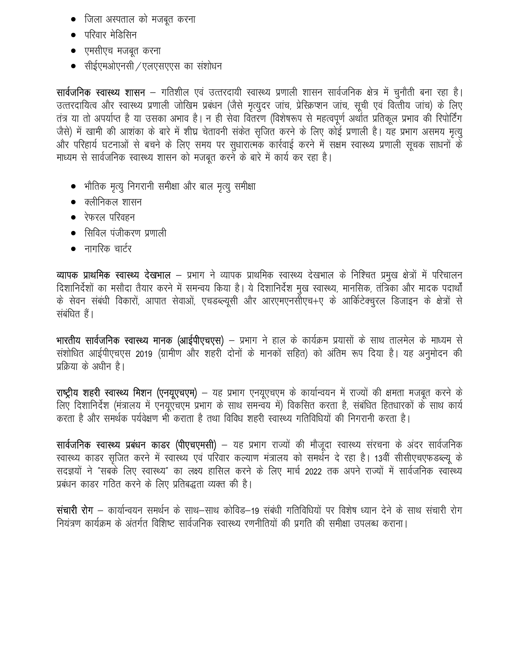- जिला अस्पताल को मजबूत करना
- परिवार मेडिसिन
- एमसीएच मजबत करना
- सीईएमओएनसी / एलएसएएस का संशोधन

सार्वजनिक स्वास्थ्य शासन – गतिशील एवं उत्तरदायी स्वास्थ्य प्रणाली शासन सार्वजनिक क्षेत्र में चुनौती बना रहा है। उत्तरदायित्व और स्वास्थ्य प्रणाली जोखिम प्रबंधन (जैसे मृत्युदर जांच, प्रेस्क्रिप्शन जांच, सूची एवं वित्तीय जांच) के लिए तंत्र या तो अपर्याप्त है या उसका अभाव है। न ही सेवा वितरण (विशेषरूप से महत्वपूर्ण अर्थात प्रतिकूल प्रभाव की रिपोर्टिंग जैसे) में खामी की आशंका के बारे में शीघ्र चेतावनी संकेत सृजित करने के लिए कोई प्रणाली है। यह प्रभाग असमय मृत्यु और परिहार्य घटनाओं से बचने के लिए समय पर सुधारात्मक कार्रवाई करने में सक्षम स्वास्थ्य प्रणाली सूचक साधनों के माध्यम से सार्वजनिक स्वास्थ्य शासन को मजबूत करने के बारे में कार्य कर रहा है।

- भौतिक मृत्यू निगरानी समीक्षा और बाल मृत्यू समीक्षा
- $\bullet$  क्लीनिकल शासन
- $\bullet$  रेफरल परिवहन
- सिविल पंजीकरण प्रणाली
- $\bullet$  नागरिक चार्टर

व्यापक प्राथमिक स्वास्थ्य देखभाल – प्रभाग ने व्यापक प्राथमिक स्वास्थ्य देखभाल के निश्चित प्रमुख क्षेत्रों में परिचालन दिशानिर्देशों का मसौदा तैयार करने में समन्वय किया है। ये दिशानिर्देश मुख स्वास्थ्य, मानसिक, तंत्रिका और मादक पदार्थों के सेवन संबंधी विकारों, आपात सेवाओं, एचडब्ल्यूसी और आरएमएनसीएच+ए के आर्किटेक्चुरल डिजाइन के क्षेत्रों से संबंधित हैं।

भारतीय सार्वजनिक स्वास्थ्य मानक (आईपीएचएस) – प्रभाग ने हाल के कार्यक्रम प्रयासों के साथ तालमेल के माध्यम से संशोधित आईपीएचएस 2019 (ग्रामीण और शहरी दोनों के मानकों सहित) को अंतिम रूप दिया है। यह अनुमोदन की प्रक्रिया के अधीन है।

राष्ट्रीय शहरी स्वास्थ्य मिशन (एनयूएचएम) - यह प्रभाग एनयूएचएम के कार्यान्वयन में राज्यों की क्षमता मजबूत करने के लिए दिशानिर्देश (मंत्रालय में एनयुएँचएम प्रभाग के साथ समन्वय में) विकसित करता है, संबंधित हितधारकों के साथ कार्य करता है और समर्थक पर्यवेक्षण भी कराता है तथा विविध शहरी स्वास्थ्य गतिविधियों की निगरानी करता है।

सार्वजनिक स्वास्थ्य प्रबंधन काडर (पीएचएमसी) - यह प्रभाग राज्यों की मौजूदा स्वास्थ्य संरचना के अंदर सार्वजनिक स्वास्थ्य काडर सृजित करने में स्वास्थ्य एवं परिवार कल्याण मंत्रालय को समर्थन दे रहा है। 13वीं सीसीएचएफडब्ल्यू के सदज्ञयों ने "सबके लिए स्वास्थ्य" का लक्ष्य हासिल करने के लिए मार्च 2022 तक अपने राज्यों में सार्वजनिक स्वास्थ्य प्रबंधन काडर गठित करने के लिए प्रतिबद्धता व्यक्त की है।

संचारी रोग – कार्यान्वयन समर्थन के साथ–साथ कोविड–19 संबंधी गतिविधियों पर विशेष ध्यान देने के साथ संचारी रोग नियंत्रण कार्यक्रम के अंतर्गत विशिष्ट सार्वजनिक स्वास्थ्य रणनीतियों की प्रगति की समीक्षा उपलब्ध कराना।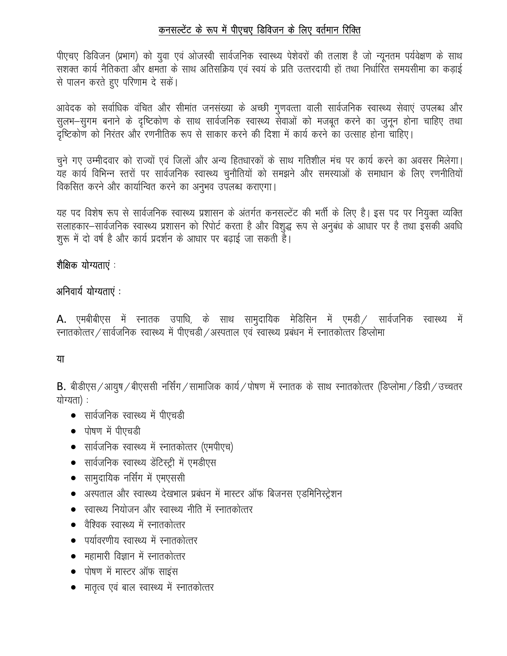# कनसल्टेंट के रूप में पीएचए डिविजन के लिए वर्तमान रिक्ति

पीएचए डिविजन (प्रभाग) को युवा एवं ओजस्वी सार्वजनिक स्वास्थ्य पेशेवरों की तलाश है जो न्यूनतम पर्यवेक्षण के साथ सशक्त कार्य नैतिकता और क्षमता के साथ अतिसक्रिय एवं स्वयं के प्रति उत्तरदायी हों तथा निर्धारित समयसीमा का कड़ाई से पालन करते हुए परिणाम दे सकें।

आवेदक को सर्वाधिक वंचित और सीमांत जनसंख्या के अच्छी गुणवत्ता वाली सार्वजनिक स्वास्थ्य सेवाएं उपलब्ध और सुलभ–सुगम बनाने के दृष्टिकोण के साथ सार्वजनिक स्वास्थ्य सेवाओं को मजबूत करने का जुनून होना चाहिए तथा दृष्टिकोण को निरंतर और रणनीतिक रूप से साकार करने की दिशा में कार्य करने का उत्साह होना चाहिए।

चुने गए उम्मीदवार को राज्यों एवं जिलों और अन्य हितधारकों के साथ गतिशील मंच पर कार्य करने का अवसर मिलेगा। यह कार्य विभिन्न स्तरों पर सार्वजनिक स्वास्थ्य चुनौतियों को समझने और समस्याओं के समाधान के लिए रणनीतियों विकसित करने और कार्यान्वित करने का अनुभव उपलब्ध कराएगा।

यह पद विशेष रूप से सार्वजनिक स्वास्थ्य प्रशासन के अंतर्गत कनसल्टेंट की भर्ती के लिए है। इस पद पर नियुक्त व्यक्ति सलाहकार-सार्वजनिक स्वास्थ्य प्रशासन को रिपोर्ट करता है और विशुद्ध रूप से अनुबंध के आधार पर है तथा इसकी अवधि शुरू में दो वर्ष है और कार्य प्रदर्शन के आधार पर बढ़ाई जा सकती है।

## शैक्षिक योग्यताएं

## अनिवार्य योग्यताएं :

A. एमबीबीएस में स्नातक उपाधि, के साथ सामुदायिक मेडिसिन में एमडी / सार्वजनिक स्वास्थ्य में रनातकोत्तर / सार्वजनिक स्वास्थ्य में पीएचडी / अस्पताल एवं स्वास्थ्य प्रबंधन में स्नातकोत्तर डिप्लोमा

## या

B. बीडीएस / आयुष / बीएससी नर्सिंग / सामाजिक कार्य / पोषण में स्नातक के साथ स्नातकोत्तर (डिप्लोमा / डिग्री / उच्चतर योग्यता) :

- सार्वजनिक स्वास्थ्य में पीएचडी
- पोषण में पीएचडी
- सार्वजनिक स्वास्थ्य में स्नातकोत्तर (एमपीएच)
- सार्वजनिक स्वास्थ्य डेंटिस्ट्री में एमडीएस
- सामुदायिक नर्सिंग में एमएससी
- अस्पताल और स्वास्थ्य देखभाल प्रबंधन में मास्टर ऑफ बिजनस एडमिनिस्ट्रेशन
- स्वास्थ्य नियोजन और स्वास्थ्य नीति में स्नातकोत्तर
- वैश्विक स्वास्थ्य में स्नातकोत्तर
- पर्यावरणीय स्वास्थ्य में स्नातकोत्तर
- महामारी विज्ञान में स्नातकोत्तर
- पोषण में मास्टर ऑफ साइंस
- मातृत्व एवं बाल स्वास्थ्य में स्नातकोत्तर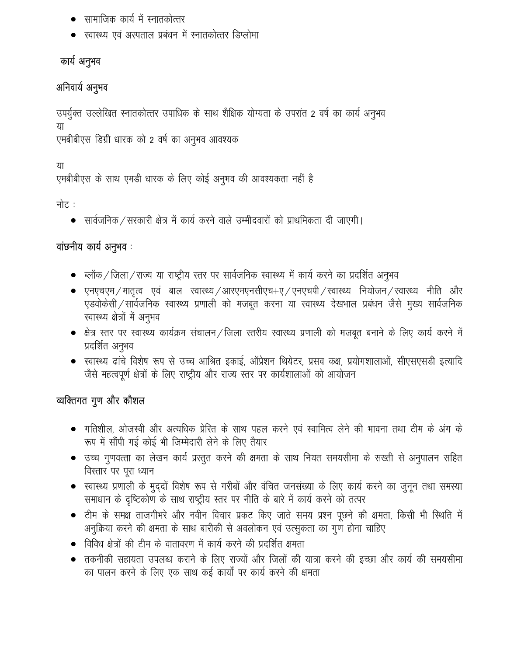- सामाजिक कार्य में स्नातकोत्तर
- स्वास्थ्य एवं अस्पताल प्रबंधन में स्नातकोत्तर डिप्लोमा

# कार्य अनुभव

# अनिवार्य अनुभव

उपर्युक्त उल्लेखित स्नातकोत्तर उपाधिक के साथ शैक्षिक योग्यता के उपरांत 2 वर्ष का कार्य अनुभव या

एमबीबीएस डिग्री धारक को 2 वर्ष का अनुभव आवश्यक

या

एमबीबीएस के साथ एमडी धारक के लिए कोई अनुभव की आवश्यकता नहीं है

नोट :

सार्वजनिक ⁄ सरकारी क्षेत्र में कार्य करने वाले उम्मीदवारों को प्राथमिकता दी जाएगी।  $\bullet$ 

# वाछनीय कार्य अनुभव:

- ब्लॉक / जिला / राज्य या राष्ट्रीय स्तर पर सार्वजनिक स्वास्थ्य में कार्य करने का प्रदर्शित अनुभव
- एनएचएम / मातृत्व एवं बाल स्वास्थ्य / आरएमएनसीएच+ए / एनएचपी / स्वास्थ्य नियोजन / स्वास्थ्य नीति और एडवोकेसी / सार्वजनिक स्वास्थ्य प्रणाली को मजबूत करना या स्वास्थ्य देखभाल प्रबंधन जैसे मुख्य सार्वजनिक स्वास्थ्य क्षेत्रों में अनुभव
- क्षेत्र स्तर पर स्वास्थ्य कार्यक्रम संचालन / जिला स्तरीय स्वास्थ्य प्रणाली को मजबूत बनाने के लिए कार्य करने में प्रदर्शित अनुभव
- स्वास्थ्य ढांचे विशेष रूप से उच्च आश्रित इकाई, ऑप्रेशन थियेटर, प्रसव कक्ष, प्रयोगशालाओं, सीएसएसडी इत्यादि जैसे महत्वपूर्ण क्षेत्रों के लिए राष्ट्रीय और राज्य स्तर पर कार्यशालाओं को आयोजन

# व्यक्तिगत गुण और कौशल

- गतिशील, ओजस्वी और अत्यधिक प्रेरित के साथ पहल करने एवं स्वामित्व लेने की भावना तथा टीम के अंग के रूप में सौंपी गई कोई भी जिम्मेदारी लेने के लिए तैयार
- उच्च गुणवत्ता का लेखन कार्य प्रस्तुत करने की क्षमता के साथ नियत समयसीमा के सख्ती से अनुपालन सहित विस्तार पर पूरा ध्यान
- स्वास्थ्य प्रणाली के मुद्दों विशेष रूप से गरीबों और वंचित जनसंख्या के लिए कार्य करने का जुनून तथा समस्या समाधान के दृष्टिकोण के साथ राष्ट्रीय स्तर पर नीति के बारे में कार्य करने को तत्पर
- टीम के समक्ष ताजगीभरे और नवीन विचार प्रकट किए जाते समय प्रश्न पूछने की क्षमता, किसी भी स्थिति में अनुक्रिया करने की क्षमता के साथ बारीकी से अवलोकन एवं उत्सुकता का गुण होना चाहिए
- विविध क्षेत्रों की टीम के वातावरण में कार्य करने की प्रदर्शित क्षमता
- तकनीकी सहायता उपलब्ध कराने के लिए राज्यों और जिलों की यात्रा करने की इच्छा और कार्य की समयसीमा का पालन करने के लिए एक साथ कई कार्यों पर कार्य करने की क्षमता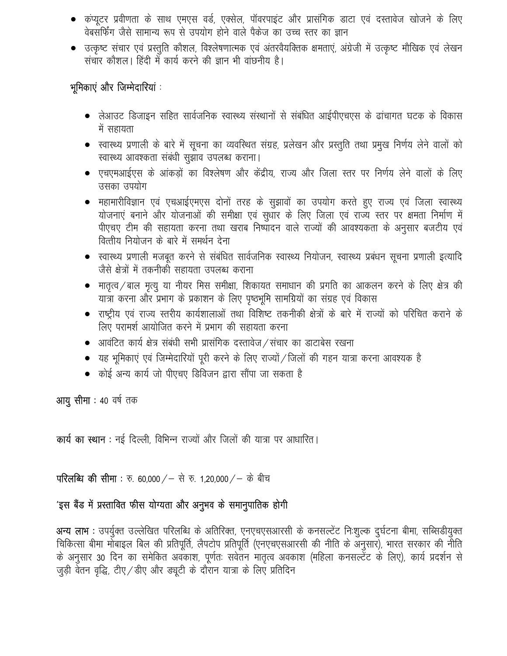- कंप्यूटर प्रवीणता के साथ एमएस वर्ड, एक्सेल, पॉवरपाइंट और प्रासंगिक डाटा एवं दस्तावेज खोजने के लिए वेबसर्फिंग जैसे सामान्य रूप से उपयोग होने वाले पैकेज का उच्च स्तर का ज्ञान
- उत्कृष्ट संचार एवं प्रस्तुति कौशल, विश्लेषणात्मक एवं अंतरवैयक्तिक क्षमताएं, अंग्रेजी में उत्कृष्ट मौखिक एवं लेखन संचार कौशल। हिंदी में कार्य करने की ज्ञान भी वांछनीय है।

## भूमिकाएं और जिम्मेदारियां :

- लेआउट डिजाइन सहित सार्वजनिक स्वास्थ्य संस्थानों से संबंधित आईपीएचएस के ढांचागत घटक के विकास में सहायता
- स्वास्थ्य प्रणाली के बारे में सूचना का व्यवस्थित संग्रह, प्रलेखन और प्रस्तुति तथा प्रमुख निर्णय लेने वालों को स्वास्थ्य आवश्कता संबंधी सुझाव उपलब्ध कराना।
- एचएमआईएस के आंकड़ों का विश्लेषण और केंद्रीय, राज्य और जिला स्तर पर निर्णय लेने वालों के लिए उसका उपयोग
- महामारीविज्ञान एवं एचआईएमएस दोनों तरह के सुझावों का उपयोग करते हुए राज्य एवं जिला स्वास्थ्य योजनाएं बनाने और योजनाओं की समीक्षा एवं सुधार के लिए जिला एवं राज्य स्तर पर क्षमता निर्माण में पीएचए टीम की सहायता करना तथा खराब निष्पादन वाले राज्यों की आवश्यकता के अनुसार बजटीय एवं वित्तीय नियोजन के बारे में समर्थन देना
- स्वास्थ्य प्रणाली मजबूत करने से संबंधित सार्वजनिक स्वास्थ्य नियोजन, स्वास्थ्य प्रबंधन सूचना प्रणाली इत्यादि जैसे क्षेत्रों में तकनीकी सहायता उपलब्ध कराना
- मातृत्व / बाल मृत्यू या नीयर मिस समीक्षा, शिकायत समाधान की प्रगति का आकलन करने के लिए क्षेत्र की यात्रा करना और प्रभाग के प्रकाशन के लिए पृष्ठभूमि सामग्रियों का संग्रह एवं विकास
- राष्ट्रीय एवं राज्य स्तरीय कार्यशालाओं तथा विशिष्ट तकनीकी क्षेत्रों के बारे में राज्यों को परिचित कराने के लिए परामर्श आयोजित करने में प्रभाग की सहायता करना
- आवंटित कार्य क्षेत्र संबंधी सभी प्रासंगिक दस्तावेज / संचार का डाटाबेस रखना
- यह भूमिकाएं एवं जिम्मेदारियों पूरी करने के लिए राज्यों / जिलों की गहन यात्रा करना आवश्यक है
- कोई अन्य कार्य जो पीएचए डिविजन द्वारा सौंपा जा सकता है

आयु सीमा : 40 वर्ष तक

कार्य का स्थान: नई दिल्ली, विभिन्न राज्यों और जिलों की यात्रा पर आधारित।

**परिलब्धि की सीमा**: रु. 60,000 / – से रु. 1,20,000 / – के बीच

# 'इस बैंड में प्रस्तावित फीस योग्यता और अनुभव के समानुपातिक होगी

अन्य लाभ : उपर्युक्त उल्लेखित परिलब्धि के अतिरिक्त, एनएचएसआरसी के कनसल्टेंट निःशुल्क दुर्घटना बीमा, सब्सिडीयुक्त चिकित्सा बीमा मोबाइल बिल की प्रतिपूर्ति, लैपटोप प्रतिपूर्ति (एनएचएसआरसी की नीति के अनुसार), भारत सरकार की नीति के अनुसार 30 दिन का समेकित अवकाश, पूर्णतः सवेतन मातृत्व अवकाश (महिला कनसल्टेंट के लिए), कार्य प्रदर्शन से जुड़ी वेतन वृद्धि, टीए / डीए और ड्यूटी के दौरान यात्रा के लिए प्रतिदिन